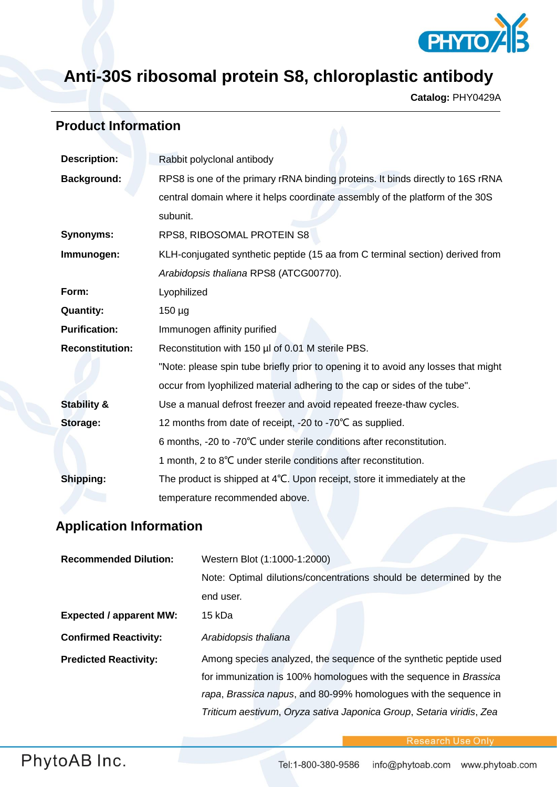

## **Anti-30S ribosomal protein S8, chloroplastic antibody**

**Catalog:** PHY0429A

## **Product Information**

| <b>Description:</b>    | Rabbit polyclonal antibody                                                         |
|------------------------|------------------------------------------------------------------------------------|
| <b>Background:</b>     | RPS8 is one of the primary rRNA binding proteins. It binds directly to 16S rRNA    |
|                        | central domain where it helps coordinate assembly of the platform of the 30S       |
|                        | subunit.                                                                           |
| <b>Synonyms:</b>       | RPS8, RIBOSOMAL PROTEIN S8                                                         |
| Immunogen:             | KLH-conjugated synthetic peptide (15 aa from C terminal section) derived from      |
|                        | Arabidopsis thaliana RPS8 (ATCG00770).                                             |
| Form:                  | Lyophilized                                                                        |
| <b>Quantity:</b>       | $150 \mu g$                                                                        |
| <b>Purification:</b>   | Immunogen affinity purified                                                        |
| <b>Reconstitution:</b> | Reconstitution with 150 µl of 0.01 M sterile PBS.                                  |
|                        | "Note: please spin tube briefly prior to opening it to avoid any losses that might |
|                        | occur from lyophilized material adhering to the cap or sides of the tube".         |
| <b>Stability &amp;</b> | Use a manual defrost freezer and avoid repeated freeze-thaw cycles.                |
| Storage:               | 12 months from date of receipt, -20 to -70°C as supplied.                          |
|                        | 6 months, -20 to -70°C under sterile conditions after reconstitution.              |
|                        | 1 month, 2 to 8°C under sterile conditions after reconstitution.                   |
| Shipping:              | The product is shipped at 4°C. Upon receipt, store it immediately at the           |
|                        | temperature recommended above.                                                     |

## **Application Information**

| <b>Recommended Dilution:</b>   | Western Blot (1:1000-1:2000)                                         |
|--------------------------------|----------------------------------------------------------------------|
|                                | Note: Optimal dilutions/concentrations should be determined by the   |
|                                | end user.                                                            |
| <b>Expected / apparent MW:</b> | 15 kDa                                                               |
| <b>Confirmed Reactivity:</b>   | Arabidopsis thaliana                                                 |
| <b>Predicted Reactivity:</b>   | Among species analyzed, the sequence of the synthetic peptide used   |
|                                | for immunization is 100% homologues with the sequence in Brassica    |
|                                | rapa, Brassica napus, and 80-99% homologues with the sequence in     |
|                                | Triticum aestivum, Oryza sativa Japonica Group, Setaria viridis, Zea |

Research Use Only